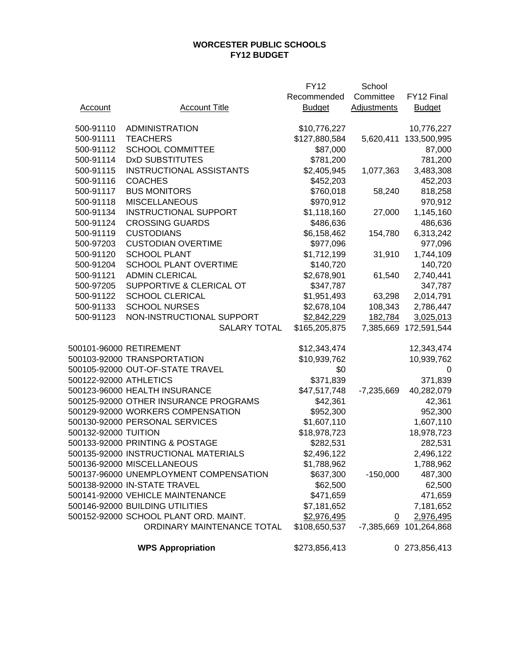## **WORCESTER PUBLIC SCHOOLS FY12 BUDGET**

|                        |                                        | <b>FY12</b>   | School             |                        |
|------------------------|----------------------------------------|---------------|--------------------|------------------------|
|                        |                                        | Recommended   | Committee          | FY12 Final             |
| Account                | <b>Account Title</b>                   | <b>Budget</b> | <b>Adjustments</b> | <b>Budget</b>          |
|                        |                                        |               |                    |                        |
| 500-91110              | <b>ADMINISTRATION</b>                  | \$10,776,227  |                    | 10,776,227             |
| 500-91111              | <b>TEACHERS</b>                        | \$127,880,584 | 5,620,411          | 133,500,995            |
| 500-91112              | <b>SCHOOL COMMITTEE</b>                | \$87,000      |                    | 87,000                 |
| 500-91114              | <b>DxD SUBSTITUTES</b>                 | \$781,200     |                    | 781,200                |
| 500-91115              | <b>INSTRUCTIONAL ASSISTANTS</b>        | \$2,405,945   | 1,077,363          | 3,483,308              |
| 500-91116              | <b>COACHES</b>                         | \$452,203     |                    | 452,203                |
| 500-91117              | <b>BUS MONITORS</b>                    | \$760,018     | 58,240             | 818,258                |
| 500-91118              | <b>MISCELLANEOUS</b>                   | \$970,912     |                    | 970,912                |
| 500-91134              | <b>INSTRUCTIONAL SUPPORT</b>           | \$1,118,160   | 27,000             | 1,145,160              |
| 500-91124              | <b>CROSSING GUARDS</b>                 | \$486,636     |                    | 486,636                |
| 500-91119              | <b>CUSTODIANS</b>                      | \$6,158,462   | 154,780            | 6,313,242              |
| 500-97203              | <b>CUSTODIAN OVERTIME</b>              | \$977,096     |                    | 977,096                |
| 500-91120              | <b>SCHOOL PLANT</b>                    | \$1,712,199   | 31,910             | 1,744,109              |
| 500-91204              | <b>SCHOOL PLANT OVERTIME</b>           | \$140,720     |                    | 140,720                |
| 500-91121              | <b>ADMIN CLERICAL</b>                  | \$2,678,901   | 61,540             | 2,740,441              |
| 500-97205              | SUPPORTIVE & CLERICAL OT               | \$347,787     |                    | 347,787                |
| 500-91122              | <b>SCHOOL CLERICAL</b>                 | \$1,951,493   | 63,298             | 2,014,791              |
| 500-91133              | <b>SCHOOL NURSES</b>                   | \$2,678,104   | 108,343            | 2,786,447              |
| 500-91123              | NON-INSTRUCTIONAL SUPPORT              | \$2,842,229   | 182,784            | 3,025,013              |
|                        | <b>SALARY TOTAL</b>                    | \$165,205,875 | 7,385,669          | 172,591,544            |
|                        |                                        |               |                    |                        |
|                        | 500101-96000 RETIREMENT                | \$12,343,474  |                    | 12,343,474             |
|                        | 500103-92000 TRANSPORTATION            | \$10,939,762  |                    | 10,939,762             |
|                        | 500105-92000 OUT-OF-STATE TRAVEL       | \$0           |                    | 0                      |
| 500122-92000 ATHLETICS |                                        | \$371,839     |                    | 371,839                |
|                        | 500123-96000 HEALTH INSURANCE          | \$47,517,748  | $-7,235,669$       | 40,282,079             |
|                        | 500125-92000 OTHER INSURANCE PROGRAMS  | \$42,361      |                    | 42,361                 |
|                        | 500129-92000 WORKERS COMPENSATION      | \$952,300     |                    | 952,300                |
|                        | 500130-92000 PERSONAL SERVICES         | \$1,607,110   |                    | 1,607,110              |
| 500132-92000 TUITION   |                                        | \$18,978,723  |                    | 18,978,723             |
|                        | 500133-92000 PRINTING & POSTAGE        | \$282,531     |                    | 282,531                |
|                        | 500135-92000 INSTRUCTIONAL MATERIALS   | \$2,496,122   |                    | 2,496,122              |
|                        | 500136-92000 MISCELLANEOUS             | \$1,788,962   |                    | 1,788,962              |
|                        | 500137-96000 UNEMPLOYMENT COMPENSATION | \$637,300     | $-150,000$         | 487,300                |
|                        | 500138-92000 IN-STATE TRAVEL           | \$62,500      |                    | 62,500                 |
|                        | 500141-92000 VEHICLE MAINTENANCE       | \$471,659     |                    | 471,659                |
|                        | 500146-92000 BUILDING UTILITIES        | \$7,181,652   |                    | 7,181,652              |
|                        | 500152-92000 SCHOOL PLANT ORD. MAINT.  | \$2,976,495   | $\Omega$           | 2,976,495              |
|                        | ORDINARY MAINTENANCE TOTAL             | \$108,650,537 |                    | -7,385,669 101,264,868 |
|                        |                                        |               |                    |                        |
|                        | <b>WPS Appropriation</b>               | \$273,856,413 |                    | 0 273,856,413          |